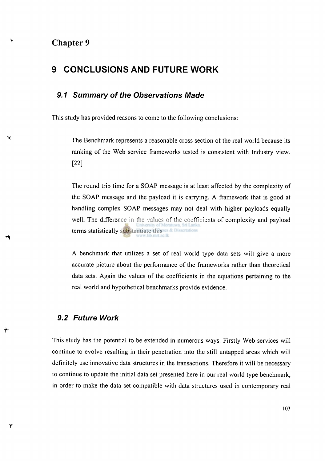## **Chapter 9**

γ

 $\blacktriangleright$ 

 $\mathbf{\tau}$ 

# **9 CONCLUSIONS AND FUTURE WORK**

#### *9.1 Summary of the Observations Made*

This study has provided reasons to come to the following conclusions:

The Benchmark represents a reasonable cross section of the real world because its ranking of the Web service frameworks tested is consistent with Industry view. [22]

The round trip time for a SOAP message is at least affected by the complexity of the SOAP message and the payload it is carrying. A framework that is good at handling complex SOAP messages may not deal with higher payloads equally well. The difference in the values of the coefficients of complexity and payload University of Moratuwa, Sri Lanka terms statistically substantiate this as & Dissertations

A benchmark that utilizes a set of real world type data sets will give a more accurate picture about the performance of the frameworks rather than theoretical data sets. Again the values of the coefficients in the equations pertaining to the real world and hypothetical benchmarks provide evidence.

#### *9.2 Future Work*

This study has the potential to be extended in numerous ways. Firstly Web services will continue to evolve resulting in their penetration into the still untapped areas which will definitely use innovative data structures in the transactions. Therefore it will be necessary to continue to update the initial data set presented here in our real world type benchmark, in order to make the data set compatible with data structures used in contemporary real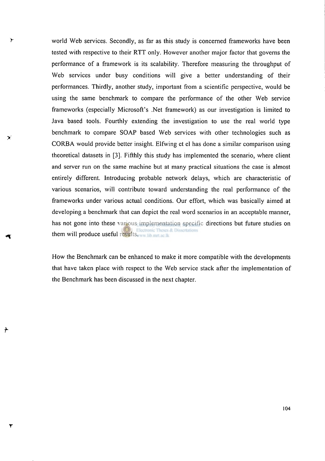world Web services. Secondly, as far as this study is concerned frameworks have been tested with respective to their RTT only. However another major factor that governs the performance of a framework is its scalability. Therefore measuring the throughput of Web services under busy conditions will give a better understanding of their performances. Thirdly, another study, important from a scientific perspective, would be using the same benchmark to compare the performance of the other Web service frameworks (especially Microsoft's .Net framework) as our investigation is limited to Java based tools. Fourthly extending the investigation to use the real world type benchmark to compare SOAP based Web services with other technologies such as CORBA would provide better insight. Elfwing et el has done a similar comparison using theoretical datasets in [3]. Fifthly this study has implemented the scenario, where client and server run on the same machine but at many practical situations the case is almost entirely different. Introducing probable network delays, which are characteristic of various scenarios, will contribute toward understanding the real performance of the frameworks under various actual conditions. Our effort, which was basically aimed at developing a benchmark that can depict the real word scenarios in an acceptable manner, has not gone into these various implementation specific directions but future studies on them will produce useful results, www.lib.mrt.ac.lk

≻

╇

How the Benchmark can be enhanced to make it more compatible with the developments that have taken place with respect to the Web service stack after the implementation of the Benchmark has been discussed in the next chapter.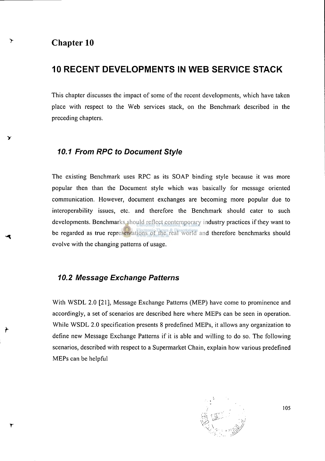## **Chapter 10**

 $\blacktriangleright$ 

# **10 RECENT DEVELOPMENTS IN WEB SERVICE STACK**

This chapter discusses the impact of some of the recent developments, which have taken place with respect to the Web services stack, on the Benchmark described in the preceding chapters.

### *10.1 From RPC to Document Style*

The existing Benchmark uses RPC as its SOAP binding style because it was more popular then than the Document style which was basically for message oriented communication. However, document exchanges are becoming more popular due to interoperability issues, etc. and therefore the Benchmark should cater to such developments. Benchmarks should reflect contemporary industry practices if they want to be regarded as true representations of the real world and therefore benchmarks should evolve with the changing patterns of usage.

#### *10.2 Message Exchange Patterns*

With WSDL 2.0 [21], Message Exchange Patterns (MEP) have come to prominence and accordingly, a set of scenarios are described here where MEPs can be seen in operation. While WSDL 2.0 specification presents 8 predefined MEPs, it allows any organization to define new Message Exchange Patterns if it is able and willing to do so. The following scenarios, described with respect to a Supermarket Chain, explain how various predefined MEPs can be helpful



**105**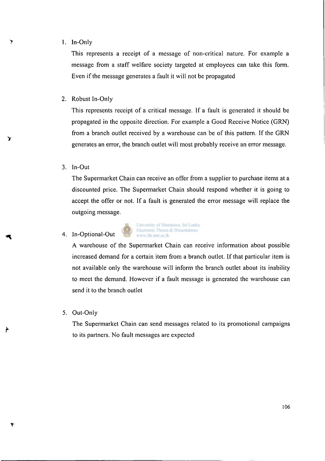#### 1. In-Only

ን

ּ

 $\mathbf{\dot{r}}$ 

This represents a receipt of a message of non-critical nature. For example a message from a staff welfare society targeted at employees can take this form. Even if the message generates a fault it will not be propagated

2. Robust In-Only

This represents receipt of a critical message. If a fault is generated it should be propagated in the opposite direction. For example a Good Receive Notice (GRN) from a branch outlet received by a warehouse can be of this pattern. If the GRN generates an error, the branch outlet will most probably receive an error message.

3. In-Out

The Supermarket Chain can receive an offer from a supplier to purchase items at a discounted price. The Supermarket Chain should respond whether it is going to accept the offer or not. If a fault is generated the error message will replace the outgoing message.

#### 4. In-Optional-Out



A warehouse of the Supermarket Chain can receive information about possible increased demand for a certain item from a branch outlet. If that particular item is not available only the warehouse will inform the branch outlet about its inability to meet the demand. However if a fault message is generated the warehouse can send it to the branch outlet

5. Out-Only

The Supermarket Chain can send messages related to its promotional campaigns to its partners. No fault messages are expected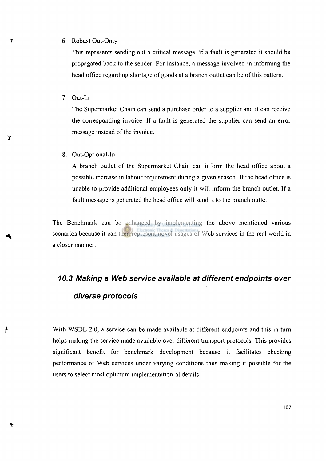#### 6. Robust Out-Only

This represents sending out a critical message. If a fault is generated it should be propagated back to the sender. For instance, a message involved in informing the head office regarding shortage of goods at a branch outlet can be of this pattern.

7. Out-In

 $\overline{\phantom{a}}$ 

Y

⊁

۲

The Supermarket Chain can send a purchase order to a supplier and it can receive the corresponding invoice. If a fault is generated the supplier can send an error message instead of the invoice.

8. Out-Optional-In

A branch outlet of the Supermarket Chain can inform the head office about a possible increase in labour requirement during a given season. If the head office is unable to provide additional employees only it will inform the branch outlet. If a fault message is generated the head office will send it to the branch outlet.

The Benchmark can be enhanced by implementing the above mentioned various scenarios because it can then represent novel usages of Web services in the real world in a closer manner.

# *10.3 Making a Web service available at different endpoints over diverse protocols*

With WSDL 2.0, a service can be made available at different endpoints and this in turn helps making the service made available over different transport protocols. This provides significant benefit for benchmark development because it facilitates checking performance of Web services under varying conditions thus making it possible for the users to select most optimum implementation-al details.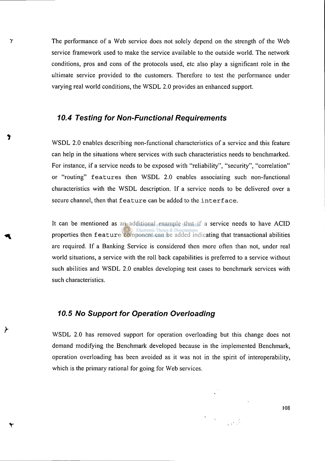The performance of a Web service does not solely depend on the strength of the Web service framework used to make the service available to the outside world. The network conditions, pros and cons of the protocols used, etc also play a significant role in the ultimate service provided to the customers. Therefore to test the performance under varying real world conditions, the WSDL 2.0 provides an enhanced support.

#### *10.4 Testing for Non-Functional Requirements*

 $\mathbf{\tilde{y}}$ 

⊁

WSDL 2.0 enables describing non-functional characteristics of a service and this feature can help in the situations where services with such characteristics needs to benchmarked. For instance, if a service needs to be exposed with "reliability", "security", "correlation" or "routing" features then WSDL 2.0 enables associating such non-functional characteristics with the WSDL description. If a service needs to be delivered over a secure channel, then that feature can be added to the interface.

It can be mentioned as an additional example that if a service needs to have ACID properties then feature component can be added indicating that transactional abilities are required. If a Banking Service is considered then more often than not, under real world situations, a service with the roll back capabilities is preferred to a service without such abilities and WSDL 2.0 enables developing test cases to benchmark services with such characteristics.

## *10.5 No Support for Operation Overloading*

WSDL 2.0 has removed support for operation overloading but this change does not demand modifying the Benchmark developed because in the implemented Benchmark, operation overloading has been avoided as it was not in the spirit of interoperability, which is the primary rational for going for Web services.

**108**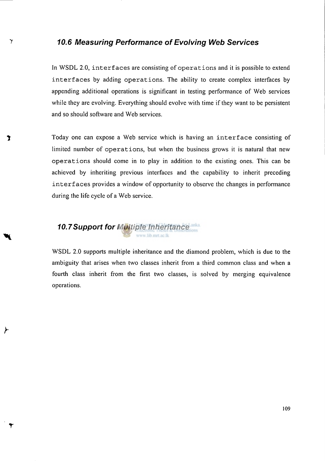#### *y 10.6 Measuring Performance of Evolving Web Services*

In WSDL 2.0, interfaces are consisting of operations and it is possible to extend interfaces by adding operations. The ability to create complex interfaces by appending additional operations is significant in testing performance of Web services while they are evolving. Everything should evolve with time if they want to be persistent and so should software and Web services.

**T** Today one can expose a Web service which is having an interface consisting of limited number of operations, but when the business grows it is natural that new operations should come in to play in addition to the existing ones. This can be achieved by inheriting previous interfaces and the capability to inherit preceding interfaces provides a window of opportunity to observe the changes in performance during the life cycle of a Web service.

#### *10.7Support for Multiple Inheritance*  www.lib.mrt.ac.lk

**r** 

WSDL 2.0 supports multiple inheritance and the diamond problem, which is due to the ambiguity that arises when two classes inherit from a third common class and when a fourth class inherit from the first two classes, is solved by merging equivalence operations.